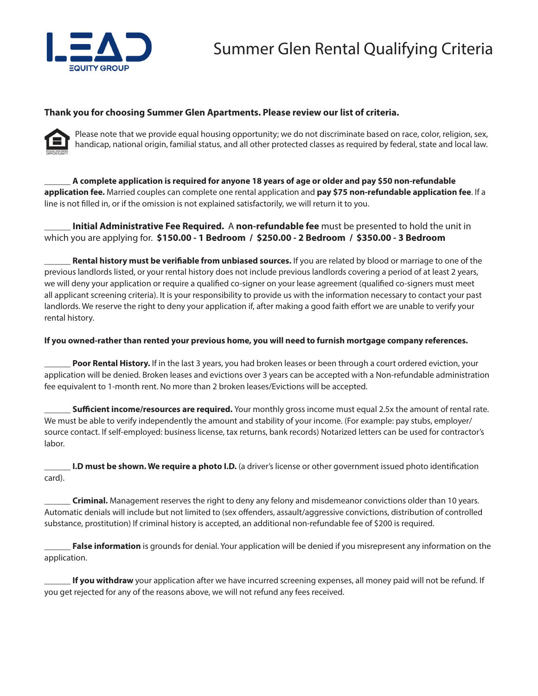

## **Thank you for choosing Summer Glen Apartments. Please review our list of criteria.**



Please note that we provide equal housing opportunity; we do not discriminate based on race, color, religion, sex, handicap, national origin, familial status, and all other protected classes as required by federal, state and local law.

\_\_\_\_\_\_ **A complete application is required for anyone 18 years of age or older and pay \$50 non-refundable application fee.** Married couples can complete one rental application and **pay \$75 non-refundable application fee**. If a line is not filled in, or if the omission is not explained satisfactorily, we will return it to you.

\_\_\_\_\_\_ **Initial Administrative Fee Required.** A **non-refundable fee** must be presented to hold the unit in which you are applying for. **\$150.00 - 1 Bedroom / \$250.00 - 2 Bedroom / \$350.00 - 3 Bedroom**

\_\_\_\_\_\_ **Rental history must be verifiable from unbiased sources.** If you are related by blood or marriage to one of the previous landlords listed, or your rental history does not include previous landlords covering a period of at least 2 years, we will deny your application or require a qualified co-signer on your lease agreement (qualified co-signers must meet all applicant screening criteria). It is your responsibility to provide us with the information necessary to contact your past landlords. We reserve the right to deny your application if, after making a good faith effort we are unable to verify your rental history.

## **If you owned-rather than rented your previous home, you will need to furnish mortgage company references.**

Poor Rental History. If in the last 3 years, you had broken leases or been through a court ordered eviction, your application will be denied. Broken leases and evictions over 3 years can be accepted with a Non-refundable administration fee equivalent to 1-month rent. No more than 2 broken leases/Evictions will be accepted.

\_\_\_\_\_\_ **Sufficient income/resources are required.** Your monthly gross income must equal 2.5x the amount of rental rate. We must be able to verify independently the amount and stability of your income. (For example: pay stubs, employer/ source contact. If self-employed: business license, tax returns, bank records) Notarized letters can be used for contractor's labor.

**I.D must be shown. We require a photo I.D.** (a driver's license or other government issued photo identification card).

\_\_\_\_\_\_ **Criminal.** Management reserves the right to deny any felony and misdemeanor convictions older than 10 years. Automatic denials will include but not limited to (sex offenders, assault/aggressive convictions, distribution of controlled substance, prostitution) If criminal history is accepted, an additional non-refundable fee of \$200 is required.

False information is grounds for denial. Your application will be denied if you misrepresent any information on the application.

If you withdraw your application after we have incurred screening expenses, all money paid will not be refund. If you get rejected for any of the reasons above, we will not refund any fees received.